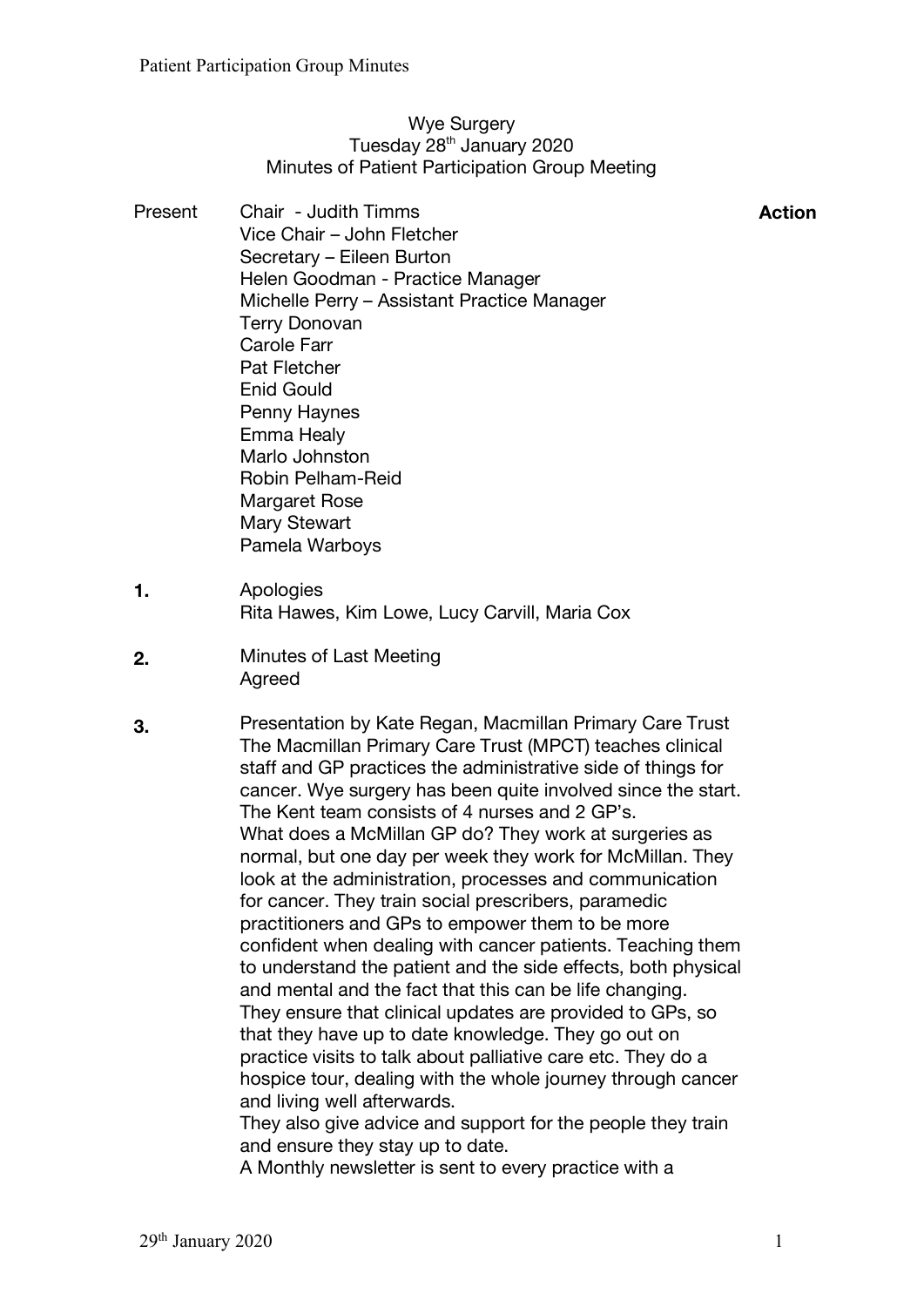## Wye Surgery Tuesday 28<sup>th</sup> January 2020 Minutes of Patient Participation Group Meeting

Present Chair - Judith Timms Vice Chair – John Fletcher Secretary – Eileen Burton Helen Goodman - Practice Manager Michelle Perry – Assistant Practice Manager Terry Donovan Carole Farr Pat Fletcher Enid Gould Penny Haynes Emma Healy Marlo Johnston Robin Pelham-Reid Margaret Rose Mary Stewart Pamela Warboys

- **1. Apologies** Rita Hawes, Kim Lowe, Lucy Carvill, Maria Cox
- **2.** Minutes of Last Meeting Agreed
- **3.** Presentation by Kate Regan, Macmillan Primary Care Trust The Macmillan Primary Care Trust (MPCT) teaches clinical staff and GP practices the administrative side of things for cancer. Wye surgery has been quite involved since the start. The Kent team consists of 4 nurses and 2 GP's. What does a McMillan GP do? They work at surgeries as normal, but one day per week they work for McMillan. They look at the administration, processes and communication for cancer. They train social prescribers, paramedic practitioners and GPs to empower them to be more confident when dealing with cancer patients. Teaching them to understand the patient and the side effects, both physical and mental and the fact that this can be life changing. They ensure that clinical updates are provided to GPs, so that they have up to date knowledge. They go out on practice visits to talk about palliative care etc. They do a hospice tour, dealing with the whole journey through cancer and living well afterwards. They also give advice and support for the people they train and ensure they stay up to date.

A Monthly newsletter is sent to every practice with a

**Action**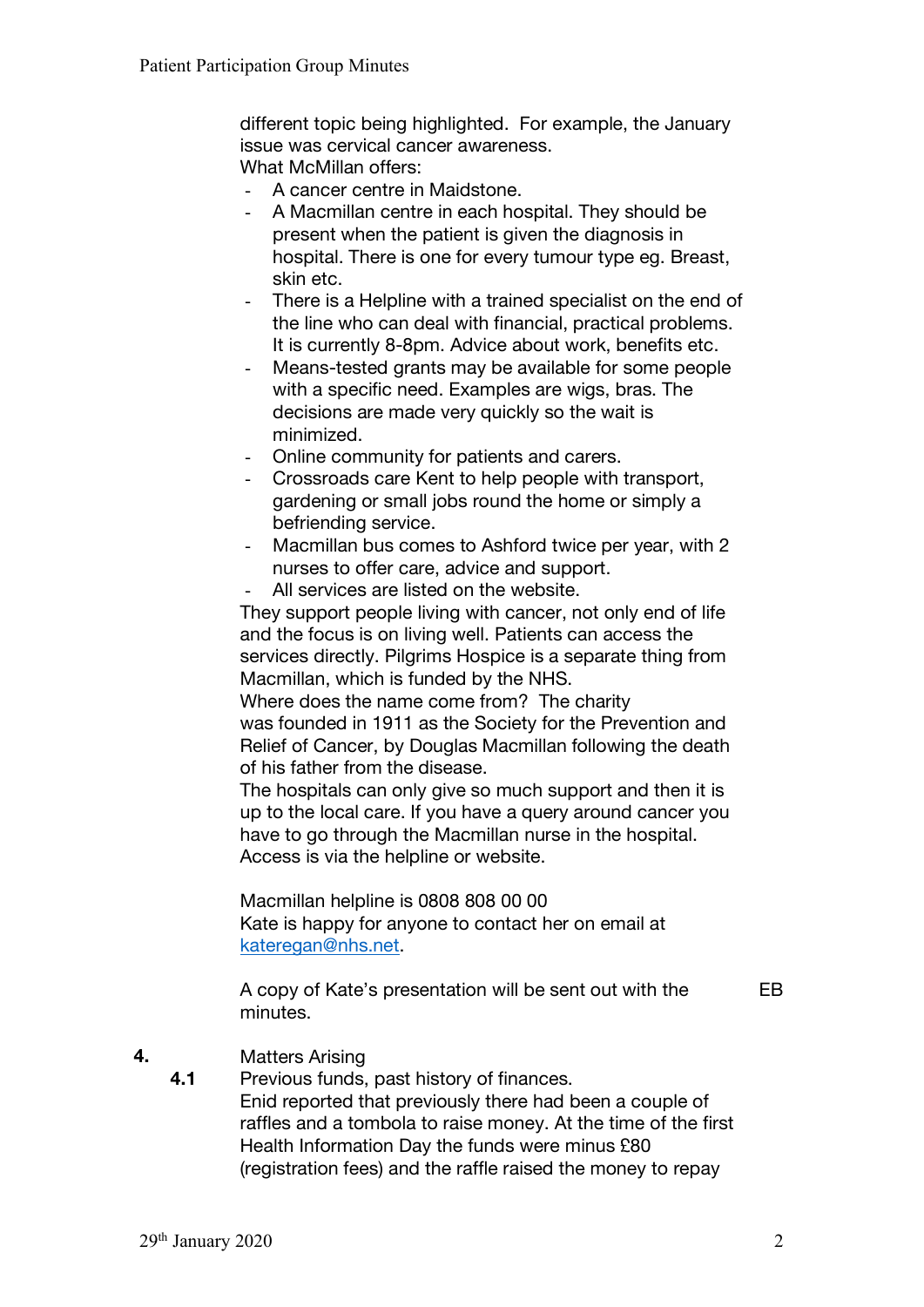different topic being highlighted. For example, the January issue was cervical cancer awareness.

What McMillan offers:

- A cancer centre in Maidstone.
- A Macmillan centre in each hospital. They should be present when the patient is given the diagnosis in hospital. There is one for every tumour type eg. Breast, skin etc.
- There is a Helpline with a trained specialist on the end of the line who can deal with financial, practical problems. It is currently 8-8pm. Advice about work, benefits etc.
- Means-tested grants may be available for some people with a specific need. Examples are wigs, bras. The decisions are made very quickly so the wait is minimized.
- Online community for patients and carers.
- Crossroads care Kent to help people with transport, gardening or small jobs round the home or simply a befriending service.
- Macmillan bus comes to Ashford twice per year, with 2 nurses to offer care, advice and support.
- All services are listed on the website.

They support people living with cancer, not only end of life and the focus is on living well. Patients can access the services directly. Pilgrims Hospice is a separate thing from Macmillan, which is funded by the NHS.

Where does the name come from? The charity was founded in 1911 as the Society for the Prevention and Relief of Cancer, by Douglas Macmillan following the death of his father from the disease.

The hospitals can only give so much support and then it is up to the local care. If you have a query around cancer you have to go through the Macmillan nurse in the hospital. Access is via the helpline or website.

Macmillan helpline is 0808 808 00 00 Kate is happy for anyone to contact her on email at kateregan@nhs.net.

A copy of Kate's presentation will be sent out with the minutes.

EB

- **4.** Matters Arising
	- **4.1** Previous funds, past history of finances. Enid reported that previously there had been a couple of raffles and a tombola to raise money. At the time of the first Health Information Day the funds were minus £80 (registration fees) and the raffle raised the money to repay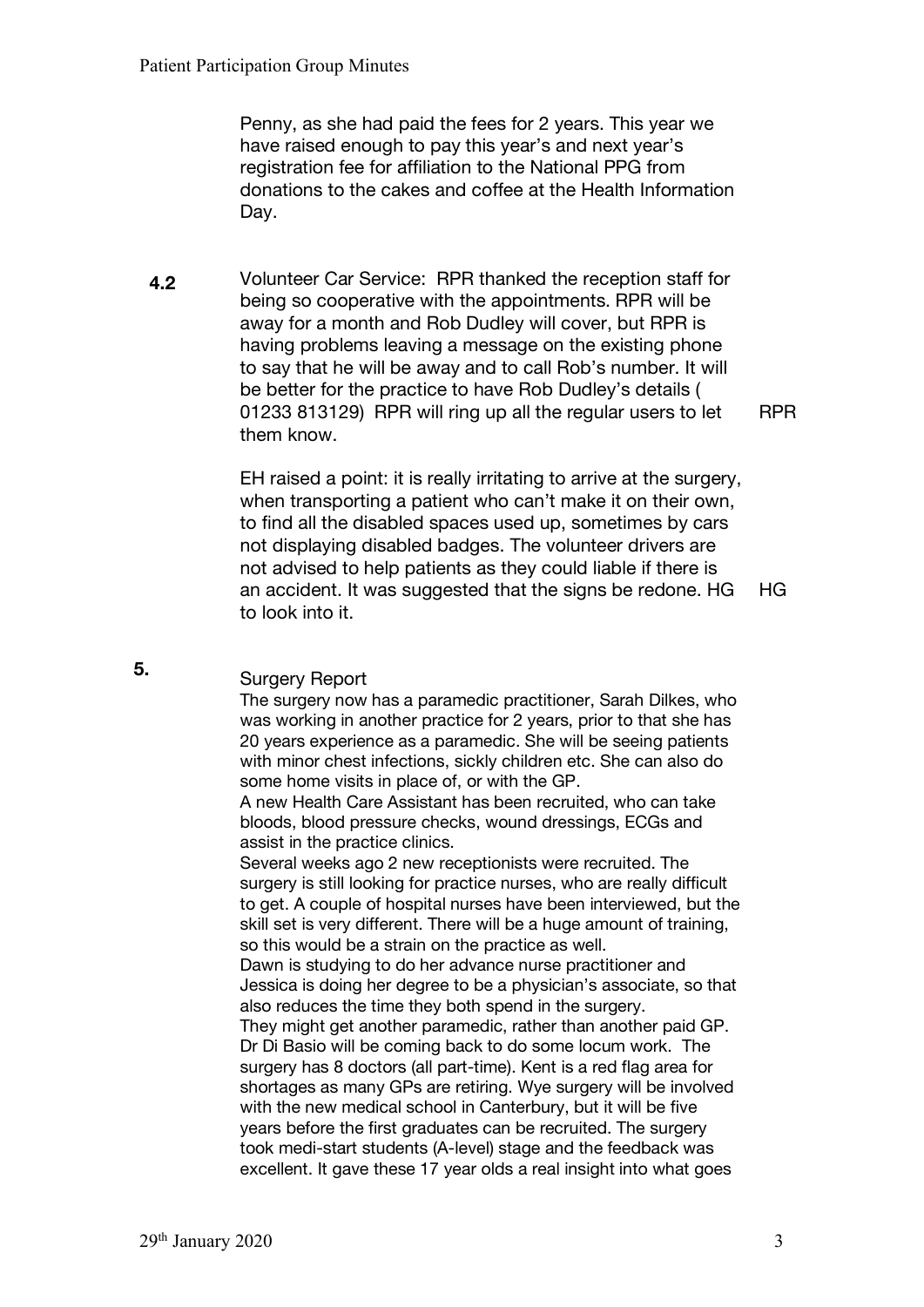Penny, as she had paid the fees for 2 years. This year we have raised enough to pay this year's and next year's registration fee for affiliation to the National PPG from donations to the cakes and coffee at the Health Information Day.

 **4.2** Volunteer Car Service: RPR thanked the reception staff for being so cooperative with the appointments. RPR will be away for a month and Rob Dudley will cover, but RPR is having problems leaving a message on the existing phone to say that he will be away and to call Rob's number. It will be better for the practice to have Rob Dudley's details ( 01233 813129) RPR will ring up all the regular users to let them know.

RPR

EH raised a point: it is really irritating to arrive at the surgery, when transporting a patient who can't make it on their own, to find all the disabled spaces used up, sometimes by cars not displaying disabled badges. The volunteer drivers are not advised to help patients as they could liable if there is an accident. It was suggested that the signs be redone. HG to look into it.

HG

## Surgery Report

**5.**

The surgery now has a paramedic practitioner, Sarah Dilkes, who was working in another practice for 2 years, prior to that she has 20 years experience as a paramedic. She will be seeing patients with minor chest infections, sickly children etc. She can also do some home visits in place of, or with the GP.

A new Health Care Assistant has been recruited, who can take bloods, blood pressure checks, wound dressings, ECGs and assist in the practice clinics.

Several weeks ago 2 new receptionists were recruited. The surgery is still looking for practice nurses, who are really difficult to get. A couple of hospital nurses have been interviewed, but the skill set is very different. There will be a huge amount of training, so this would be a strain on the practice as well.

Dawn is studying to do her advance nurse practitioner and Jessica is doing her degree to be a physician's associate, so that also reduces the time they both spend in the surgery. They might get another paramedic, rather than another paid GP. Dr Di Basio will be coming back to do some locum work. The surgery has 8 doctors (all part-time). Kent is a red flag area for shortages as many GPs are retiring. Wye surgery will be involved with the new medical school in Canterbury, but it will be five years before the first graduates can be recruited. The surgery took medi-start students (A-level) stage and the feedback was excellent. It gave these 17 year olds a real insight into what goes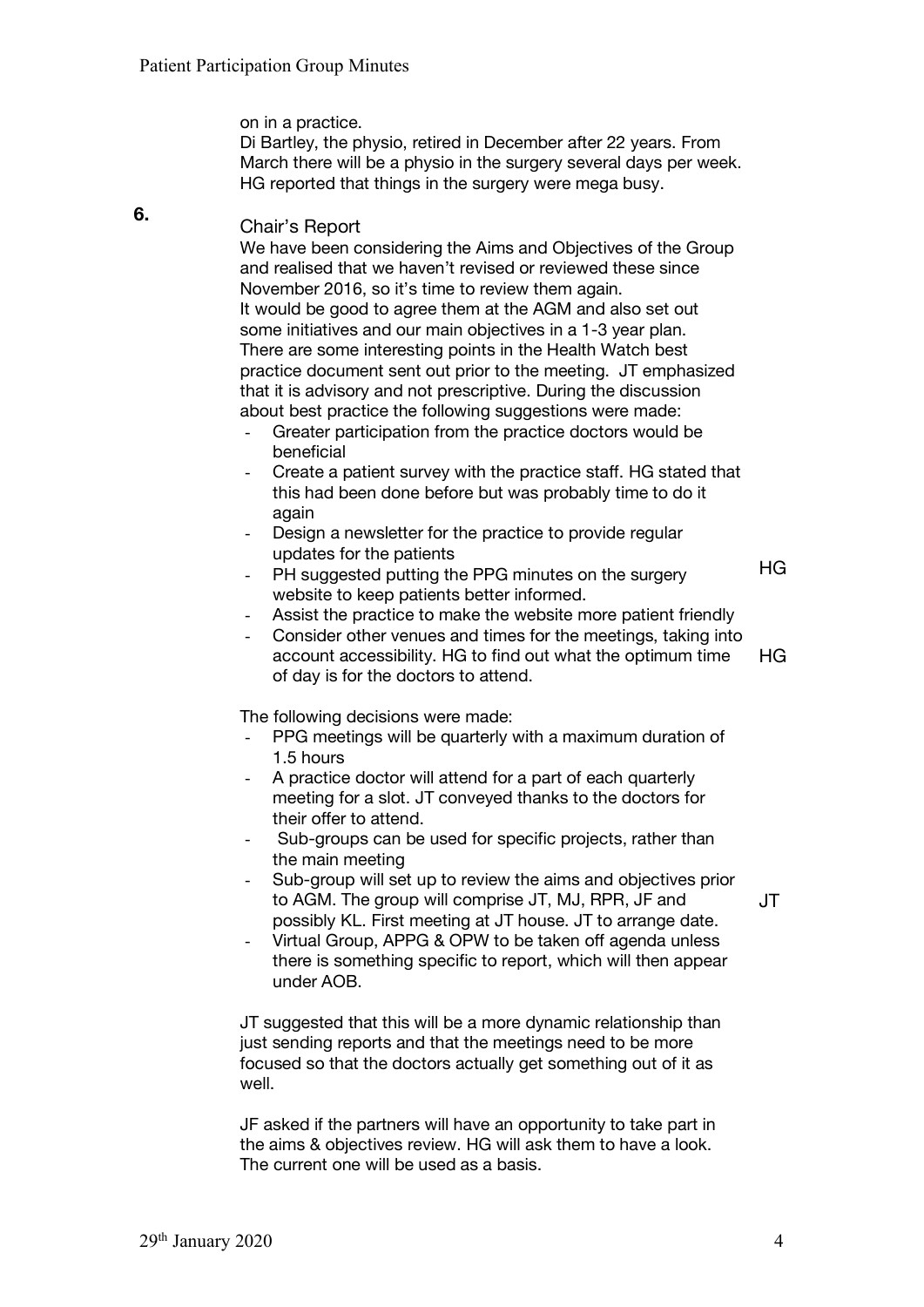on in a practice.

Di Bartley, the physio, retired in December after 22 years. From March there will be a physio in the surgery several days per week. HG reported that things in the surgery were mega busy.

## Chair's Report

**6.**

We have been considering the Aims and Objectives of the Group and realised that we haven't revised or reviewed these since November 2016, so it's time to review them again. It would be good to agree them at the AGM and also set out some initiatives and our main objectives in a 1-3 year plan. There are some interesting points in the Health Watch best practice document sent out prior to the meeting. JT emphasized that it is advisory and not prescriptive. During the discussion about best practice the following suggestions were made:

- Greater participation from the practice doctors would be beneficial
- Create a patient survey with the practice staff. HG stated that this had been done before but was probably time to do it again
- Design a newsletter for the practice to provide regular updates for the patients
- PH suggested putting the PPG minutes on the surgery website to keep patients better informed.

HG

JT

- Assist the practice to make the website more patient friendly
- Consider other venues and times for the meetings, taking into account accessibility. HG to find out what the optimum time of day is for the doctors to attend. HG

The following decisions were made:

- PPG meetings will be quarterly with a maximum duration of 1.5 hours
- A practice doctor will attend for a part of each quarterly meeting for a slot. JT conveyed thanks to the doctors for their offer to attend.
- Sub-groups can be used for specific projects, rather than the main meeting
- Sub-group will set up to review the aims and objectives prior to AGM. The group will comprise JT, MJ, RPR, JF and possibly KL. First meeting at JT house. JT to arrange date.
- Virtual Group, APPG & OPW to be taken off agenda unless there is something specific to report, which will then appear under AOB.

JT suggested that this will be a more dynamic relationship than just sending reports and that the meetings need to be more focused so that the doctors actually get something out of it as well.

JF asked if the partners will have an opportunity to take part in the aims & objectives review. HG will ask them to have a look. The current one will be used as a basis.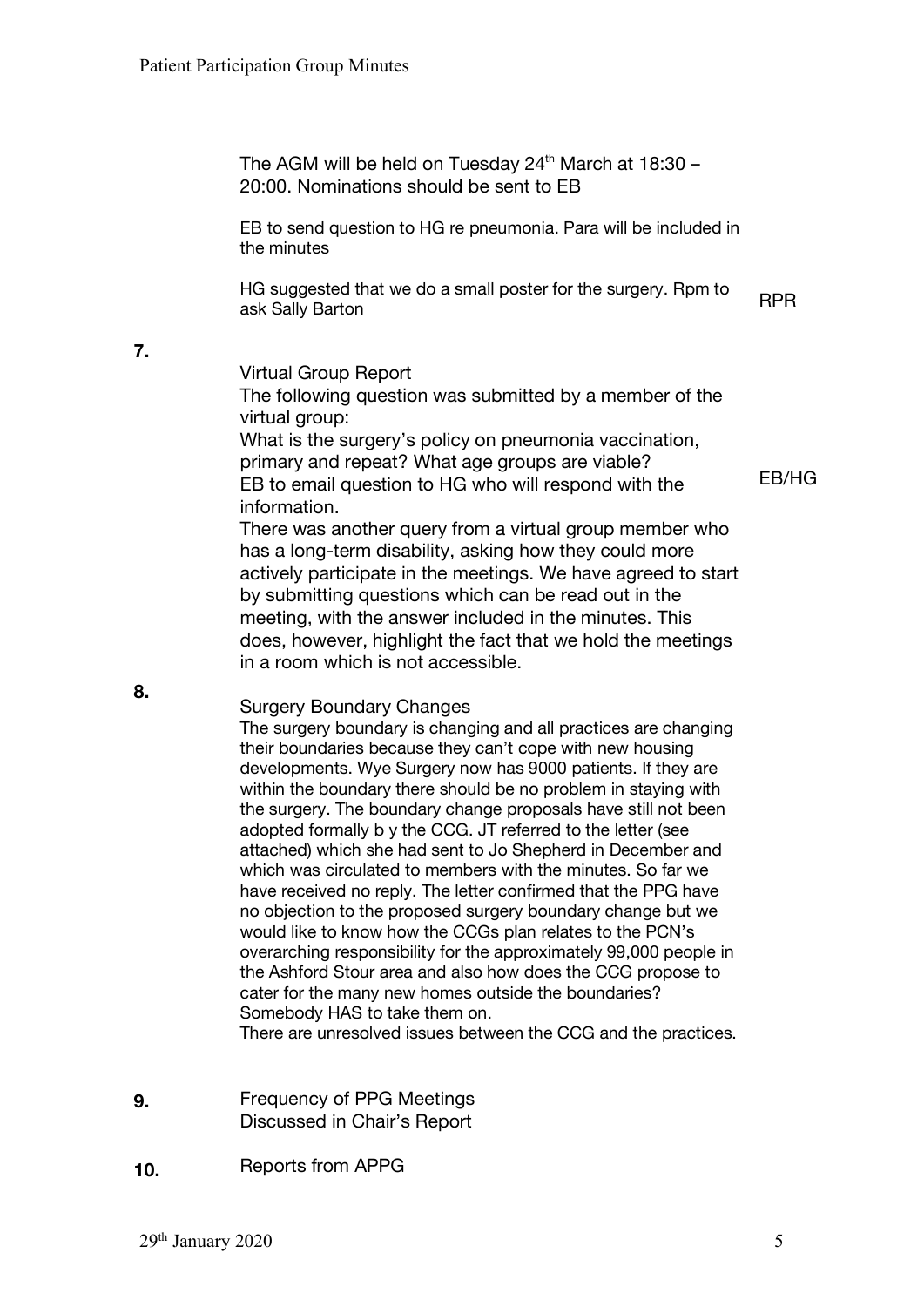The AGM will be held on Tuesday  $24<sup>th</sup>$  March at 18:30 – 20:00. Nominations should be sent to EB

EB to send question to HG re pneumonia. Para will be included in the minutes

HG suggested that we do a small poster for the surgery. Rpm to ask Sally Barton RPR

**7.**

Virtual Group Report

The following question was submitted by a member of the virtual group:

What is the surgery's policy on pneumonia vaccination, primary and repeat? What age groups are viable? EB to email question to HG who will respond with the information.

EB/HG

There was another query from a virtual group member who has a long-term disability, asking how they could more actively participate in the meetings. We have agreed to start by submitting questions which can be read out in the meeting, with the answer included in the minutes. This does, however, highlight the fact that we hold the meetings in a room which is not accessible.

## **8.**

Surgery Boundary Changes

The surgery boundary is changing and all practices are changing their boundaries because they can't cope with new housing developments. Wye Surgery now has 9000 patients. If they are within the boundary there should be no problem in staying with the surgery. The boundary change proposals have still not been adopted formally b y the CCG. JT referred to the letter (see attached) which she had sent to Jo Shepherd in December and which was circulated to members with the minutes. So far we have received no reply. The letter confirmed that the PPG have no objection to the proposed surgery boundary change but we would like to know how the CCGs plan relates to the PCN's overarching responsibility for the approximately 99,000 people in the Ashford Stour area and also how does the CCG propose to cater for the many new homes outside the boundaries? Somebody HAS to take them on.

There are unresolved issues between the CCG and the practices.

- **9.** Frequency of PPG Meetings Discussed in Chair's Report
- **10.** Reports from APPG